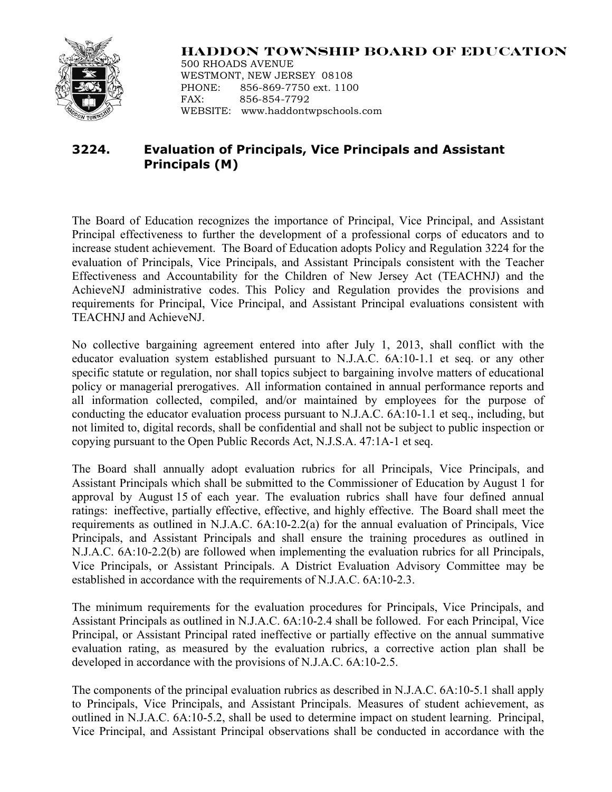

## **HADDON TOWNSHIP BOARD OF EDUCATION**

500 RHOADS AVENUE WESTMONT, NEW JERSEY 08108 PHONE: 856-869-7750 ext. 1100 FAX: 856-854-7792 WEBSITE: www.haddontwpschools.com

## **3224. Evaluation of Principals, Vice Principals and Assistant Principals (M)**

The Board of Education recognizes the importance of Principal, Vice Principal, and Assistant Principal effectiveness to further the development of a professional corps of educators and to increase student achievement. The Board of Education adopts Policy and Regulation 3224 for the evaluation of Principals, Vice Principals, and Assistant Principals consistent with the Teacher Effectiveness and Accountability for the Children of New Jersey Act (TEACHNJ) and the AchieveNJ administrative codes. This Policy and Regulation provides the provisions and requirements for Principal, Vice Principal, and Assistant Principal evaluations consistent with TEACHNJ and AchieveNJ.

No collective bargaining agreement entered into after July 1, 2013, shall conflict with the educator evaluation system established pursuant to N.J.A.C. 6A:10-1.1 et seq. or any other specific statute or regulation, nor shall topics subject to bargaining involve matters of educational policy or managerial prerogatives. All information contained in annual performance reports and all information collected, compiled, and/or maintained by employees for the purpose of conducting the educator evaluation process pursuant to N.J.A.C. 6A:10-1.1 et seq., including, but not limited to, digital records, shall be confidential and shall not be subject to public inspection or copying pursuant to the Open Public Records Act, N.J.S.A. 47:1A-1 et seq.

The Board shall annually adopt evaluation rubrics for all Principals, Vice Principals, and Assistant Principals which shall be submitted to the Commissioner of Education by August 1 for approval by August 15 of each year. The evaluation rubrics shall have four defined annual ratings: ineffective, partially effective, effective, and highly effective. The Board shall meet the requirements as outlined in N.J.A.C. 6A:10-2.2(a) for the annual evaluation of Principals, Vice Principals, and Assistant Principals and shall ensure the training procedures as outlined in N.J.A.C. 6A:10-2.2(b) are followed when implementing the evaluation rubrics for all Principals, Vice Principals, or Assistant Principals. A District Evaluation Advisory Committee may be established in accordance with the requirements of N.J.A.C. 6A:10-2.3.

The minimum requirements for the evaluation procedures for Principals, Vice Principals, and Assistant Principals as outlined in N.J.A.C. 6A:10-2.4 shall be followed. For each Principal, Vice Principal, or Assistant Principal rated ineffective or partially effective on the annual summative evaluation rating, as measured by the evaluation rubrics, a corrective action plan shall be developed in accordance with the provisions of N.J.A.C. 6A:10-2.5.

The components of the principal evaluation rubrics as described in N.J.A.C. 6A:10-5.1 shall apply to Principals, Vice Principals, and Assistant Principals. Measures of student achievement, as outlined in N.J.A.C. 6A:10-5.2, shall be used to determine impact on student learning. Principal, Vice Principal, and Assistant Principal observations shall be conducted in accordance with the